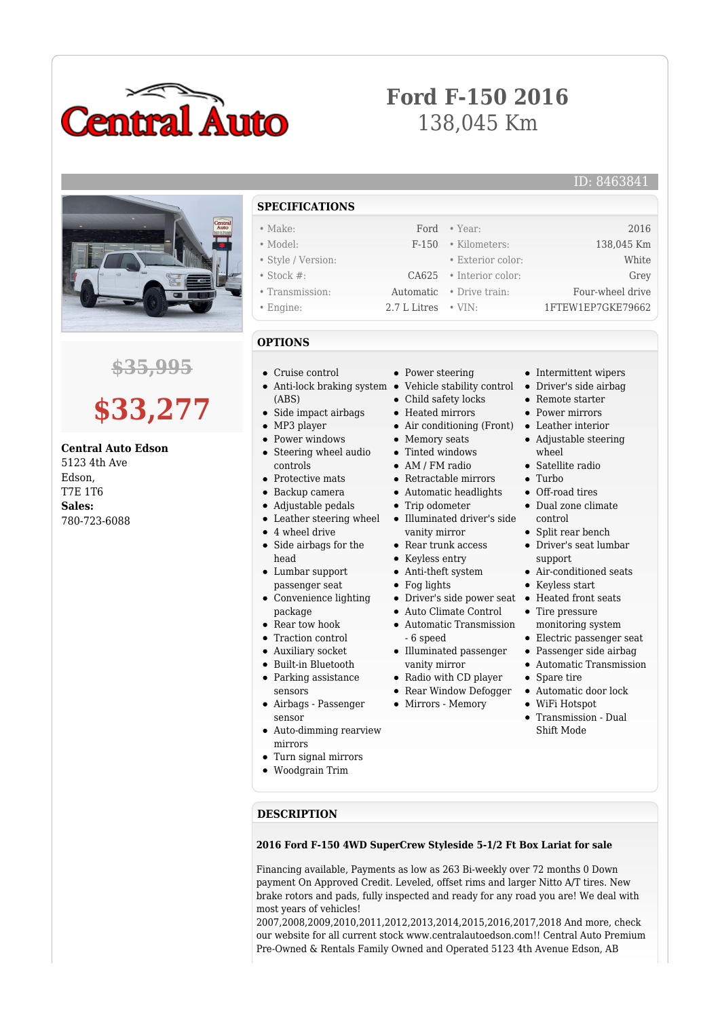

## **Ford F-150 2016** 138,045 Km

ID: 8463841



### **\$35,995**

# **\$33,277**

#### **Central Auto Edson**

5123 4th Ave Edson, T7E 1T6 **Sales:** 780-723-6088

- **SPECIFICATIONS**
- Make: Ford Year: 2016
- Model: F-150 Kilometers: 138,045 Km • Style / Version: • exterior color: • White
- Stock #: CA625 Interior color: Grey
- Transmission: Automatic Drive train: Four-wheel drive
- Engine: 2.7 L Litres VIN: 1FTEW1EP7GKE79662
- 

#### **OPTIONS**

- Cruise control
- $\bullet$  Anti-lock braking system  $\bullet$ (ABS)
- Side impact airbags
- MP3 player
- Power windows  $\bullet$
- Steering wheel audio controls
- Protective mats
- Backup camera
- $\bullet$ Adjustable pedals
- Leather steering wheel
- 4 wheel drive
- Side airbags for the head
- Lumbar support passenger seat
- Convenience lighting package
- Rear tow hook
- Traction control
- Auxiliary socket
- Built-in Bluetooth
- Parking assistance
- sensors Airbags - Passenger
- sensor
- Auto-dimming rearview mirrors
- Turn signal mirrors
- 
- Woodgrain Trim
- Power steering
- Vehicle stability control Driver's side airbag
- Child safety locks
- Heated mirrors
- Air conditioning (Front) Leather interior
- Memory seats
- Tinted windows
- AM / FM radio
- Retractable mirrors
- Automatic headlights
- Trip odometer
- Illuminated driver's side vanity mirror • Rear trunk access
- 
- Keyless entry
- 
- 
- Automatic Transmission - 6 speed
- Illuminated passenger vanity mirror
- Radio with CD player
- Rear Window Defogger
- Mirrors Memory
- Intermittent wipers
- 
- Remote starter
- **Power mirrors**
- 
- Adjustable steering wheel
- Satellite radio
- Turbo
- Off-road tires
- Dual zone climate control
- Split rear bench
- Driver's seat lumbar support
- Air-conditioned seats
- Keyless start
- Driver's side power seat Heated front seats
	- Tire pressure monitoring system
	- Electric passenger seat
	- Passenger side airbag
	- Automatic Transmission
	- Spare tire
	- Automatic door lock
	- Shift Mode

#### **DESCRIPTION**

#### **2016 Ford F-150 4WD SuperCrew Styleside 5-1/2 Ft Box Lariat for sale**

Financing available, Payments as low as 263 Bi-weekly over 72 months 0 Down payment On Approved Credit. Leveled, offset rims and larger Nitto A/T tires. New brake rotors and pads, fully inspected and ready for any road you are! We deal with most years of vehicles!

2007,2008,2009,2010,2011,2012,2013,2014,2015,2016,2017,2018 And more, check our website for all current stock www.centralautoedson.com!! Central Auto Premium Pre-Owned & Rentals Family Owned and Operated 5123 4th Avenue Edson, AB

- - -
		-
		-
- WiFi Hotspot
	- Transmission Dual
- $\bullet\,$  Anti-theft system Fog lights
	- Auto Climate Control